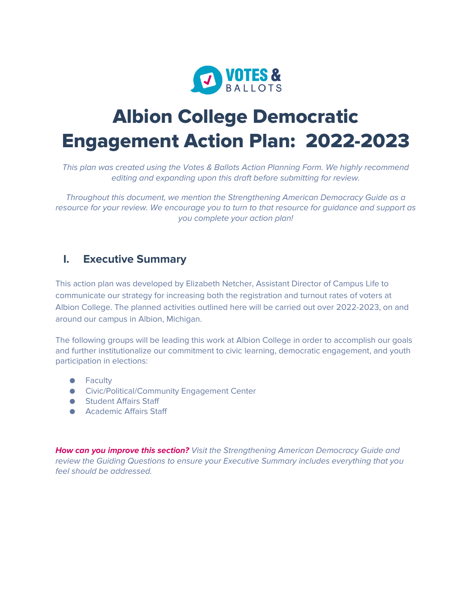

# **Albion College Democratic Engagement Action Plan: 2022-2023**

*This plan was created using the Votes & Ballots Action Planning Form. We highly recommend editing and expanding upon this draft before submitting for review.* 

*Throughout this document, we mention the Strengthening American Democracy Guide as a resource for your review. We encourage you to turn to that resource for guidance and support as you complete your action plan!* 

#### **I. Executive Summary**

This action plan was developed by Elizabeth Netcher, Assistant Director of Campus Life to communicate our strategy for increasing both the registration and turnout rates of voters at Albion College. The planned activities outlined here will be carried out over 2022-2023, on and around our campus in Albion, Michigan.

The following groups will be leading this work at Albion College in order to accomplish our goals and further institutionalize our commitment to civic learning, democratic engagement, and youth participation in elections:

- Faculty
- Civic/Political/Community Engagement Center
- Student Affairs Staff
- Academic Affairs Staff

*How can you improve this section? Visit the Strengthening American Democracy Guide and review the Guiding Questions to ensure your Executive Summary includes everything that you feel should be addressed.*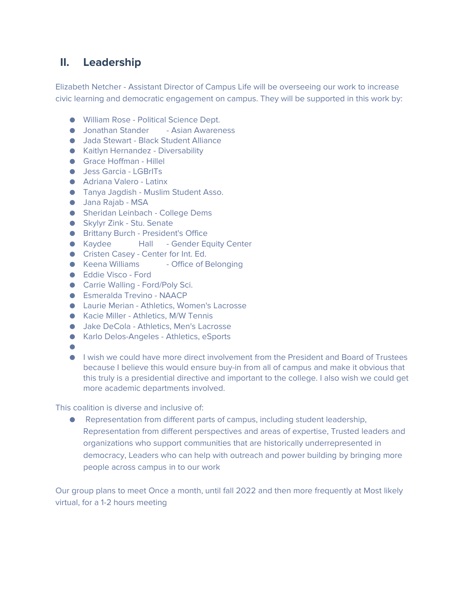## **II. Leadership**

Elizabeth Netcher - Assistant Director of Campus Life will be overseeing our work to increase civic learning and democratic engagement on campus. They will be supported in this work by:

- William Rose Political Science Dept.
- Jonathan Stander Asian Awareness
- Jada Stewart Black Student Alliance
- Kaitlyn Hernandez Diversability
- Grace Hoffman Hillel
- Jess Garcia LGBrlTs
- Adriana Valero Latinx
- Tanya Jagdish Muslim Student Asso.
- Jana Rajab MSA
- Sheridan Leinbach College Dems
- Skylyr Zink Stu. Senate
- Brittany Burch President's Office
- Kaydee Hall Gender Equity Center
- Cristen Casey Center for Int. Ed.
- Keena Williams → Office of Belonging
- Eddie Visco Ford
- Carrie Walling Ford/Poly Sci.
- Esmeralda Trevino NAACP
- Laurie Merian Athletics, Women's Lacrosse
- Kacie Miller Athletics, M/W Tennis
- Jake DeCola Athletics, Men's Lacrosse
- Karlo Delos-Angeles Athletics, eSports
- ●
- I wish we could have more direct involvement from the President and Board of Trustees because I believe this would ensure buy-in from all of campus and make it obvious that this truly is a presidential directive and important to the college. I also wish we could get more academic departments involved.

This coalition is diverse and inclusive of:

● Representation from different parts of campus, including student leadership, Representation from different perspectives and areas of expertise, Trusted leaders and organizations who support communities that are historically underrepresented in democracy, Leaders who can help with outreach and power building by bringing more people across campus in to our work

Our group plans to meet Once a month, until fall 2022 and then more frequently at Most likely virtual, for a 1-2 hours meeting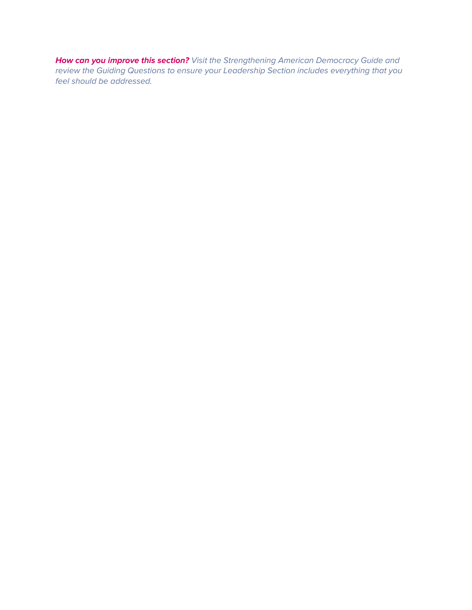*How can you improve this section? Visit the Strengthening American Democracy Guide and review the Guiding Questions to ensure your Leadership Section includes everything that you feel should be addressed.*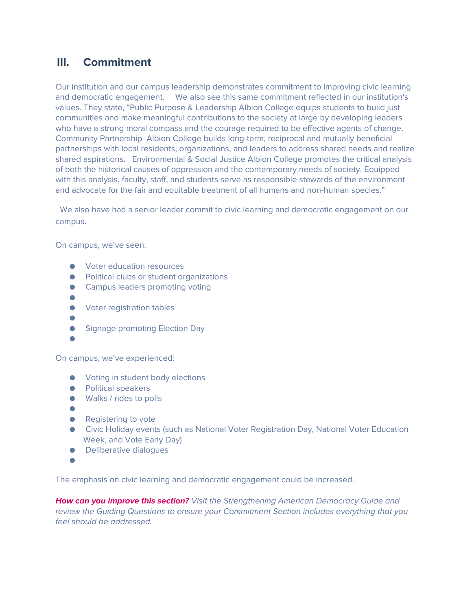#### **III. Commitment**

Our institution and our campus leadership demonstrates commitment to improving civic learning and democratic engagement. We also see this same commitment reflected in our institution's values. They state, "Public Purpose & Leadership Albion College equips students to build just communities and make meaningful contributions to the society at large by developing leaders who have a strong moral compass and the courage required to be effective agents of change. Community Partnership Albion College builds long-term, reciprocal and mutually beneficial partnerships with local residents, organizations, and leaders to address shared needs and realize shared aspirations. Environmental & Social Justice Albion College promotes the critical analysis of both the historical causes of oppression and the contemporary needs of society. Equipped with this analysis, faculty, staff, and students serve as responsible stewards of the environment and advocate for the fair and equitable treatment of all humans and non-human species."

 We also have had a senior leader commit to civic learning and democratic engagement on our campus.

On campus, we've seen:

- Voter education resources
- Political clubs or student organizations
- Campus leaders promoting voting
- ●
- Voter registration tables
- ●
- Signage promoting Election Day
- ●

On campus, we've experienced:

- Voting in student body elections
- Political speakers
- Walks / rides to polls
- ●
- Registering to vote
- Civic Holiday events (such as National Voter Registration Day, National Voter Education Week, and Vote Early Day)
- Deliberative dialoques
- ●

The emphasis on civic learning and democratic engagement could be increased.

*How can you improve this section? Visit the Strengthening American Democracy Guide and review the Guiding Questions to ensure your Commitment Section includes everything that you feel should be addressed.*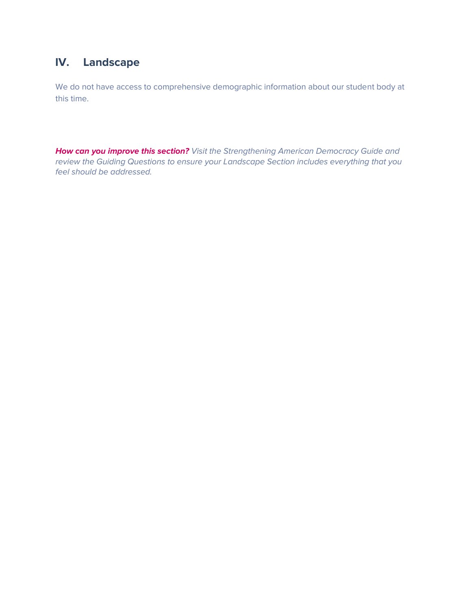## **IV. Landscape**

We do not have access to comprehensive demographic information about our student body at this time.

*How can you improve this section? Visit the Strengthening American Democracy Guide and review the Guiding Questions to ensure your Landscape Section includes everything that you feel should be addressed.*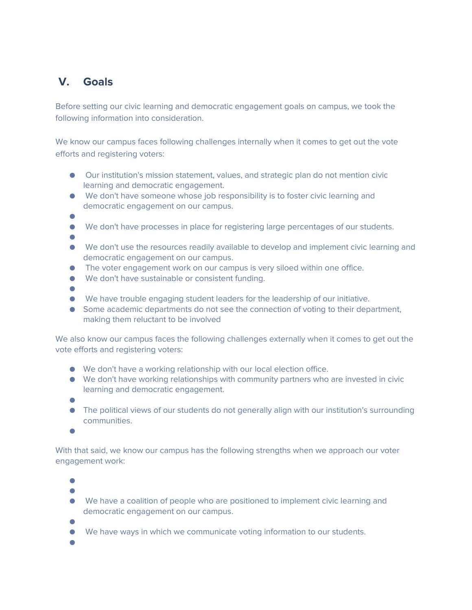## **V. Goals**

Before setting our civic learning and democratic engagement goals on campus, we took the following information into consideration.

We know our campus faces following challenges internally when it comes to get out the vote efforts and registering voters:

- Our institution's mission statement, values, and strategic plan do not mention civic learning and democratic engagement.
- We don't have someone whose job responsibility is to foster civic learning and democratic engagement on our campus.
- ●
- We don't have processes in place for registering large percentages of our students.
- ●
- We don't use the resources readily available to develop and implement civic learning and democratic engagement on our campus.
- The voter engagement work on our campus is very siloed within one office.
- We don't have sustainable or consistent funding.
- ●
- We have trouble engaging student leaders for the leadership of our initiative.
- Some academic departments do not see the connection of voting to their department, making them reluctant to be involved

We also know our campus faces the following challenges externally when it comes to get out the vote efforts and registering voters:

- We don't have a working relationship with our local election office.
- We don't have working relationships with community partners who are invested in civic learning and democratic engagement.
- ●
- The political views of our students do not generally align with our institution's surrounding communities.
- ●

With that said, we know our campus has the following strengths when we approach our voter engagement work:

●

●

- We have a coalition of people who are positioned to implement civic learning and democratic engagement on our campus.
- ●
- We have ways in which we communicate voting information to our students.
- ●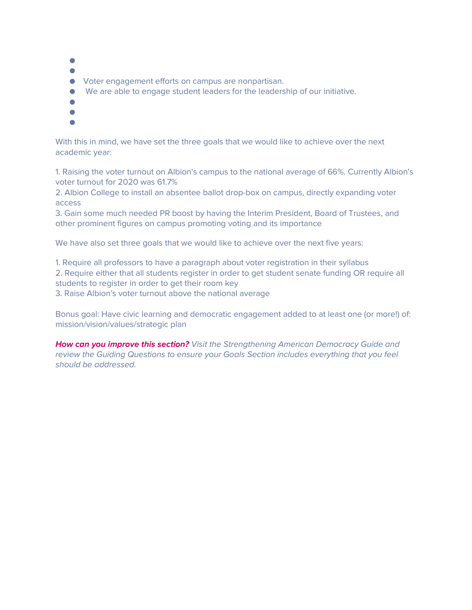- ●
- ●
- Voter engagement efforts on campus are nonpartisan.
- We are able to engage student leaders for the leadership of our initiative.
- ●
- ●
- ●

With this in mind, we have set the three goals that we would like to achieve over the next academic year:

1. Raising the voter turnout on Albion's campus to the national average of 66%. Currently Albion's voter turnout for 2020 was 61.7%

2. Albion College to install an absentee ballot drop-box on campus, directly expanding voter access

3. Gain some much needed PR boost by having the Interim President, Board of Trustees, and other prominent figures on campus promoting voting and its importance

We have also set three goals that we would like to achieve over the next five years:

1. Require all professors to have a paragraph about voter registration in their syllabus

2. Require either that all students register in order to get student senate funding OR require all students to register in order to get their room key

3. Raise Albion's voter turnout above the national average

Bonus goal: Have civic learning and democratic engagement added to at least one (or more!) of: mission/vision/values/strategic plan

*How can you improve this section? Visit the Strengthening American Democracy Guide and review the Guiding Questions to ensure your Goals Section includes everything that you feel should be addressed.*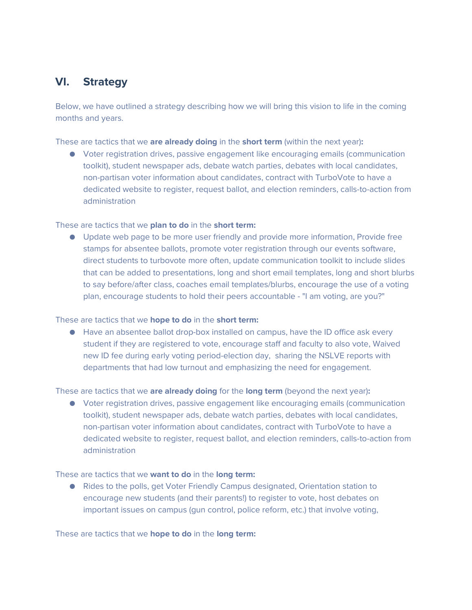### **VI. Strategy**

Below, we have outlined a strategy describing how we will bring this vision to life in the coming months and years.

These are tactics that we **are already doing** in the **short term** (within the next year)**:** 

● Voter registration drives, passive engagement like encouraging emails (communication toolkit), student newspaper ads, debate watch parties, debates with local candidates, non-partisan voter information about candidates, contract with TurboVote to have a dedicated website to register, request ballot, and election reminders, calls-to-action from administration

#### These are tactics that we **plan to do** in the **short term:**

● Update web page to be more user friendly and provide more information, Provide free stamps for absentee ballots, promote voter registration through our events software, direct students to turbovote more often, update communication toolkit to include slides that can be added to presentations, long and short email templates, long and short blurbs to say before/after class, coaches email templates/blurbs, encourage the use of a voting plan, encourage students to hold their peers accountable - "I am voting, are you?"

#### These are tactics that we **hope to do** in the **short term:**

● Have an absentee ballot drop-box installed on campus, have the ID office ask every student if they are registered to vote, encourage staff and faculty to also vote, Waived new ID fee during early voting period-election day, sharing the NSLVE reports with departments that had low turnout and emphasizing the need for engagement.

These are tactics that we **are already doing** for the **long term** (beyond the next year)**:** 

● Voter registration drives, passive engagement like encouraging emails (communication toolkit), student newspaper ads, debate watch parties, debates with local candidates, non-partisan voter information about candidates, contract with TurboVote to have a dedicated website to register, request ballot, and election reminders, calls-to-action from administration

#### These are tactics that we **want to do** in the **long term:**

● Rides to the polls, get Voter Friendly Campus designated, Orientation station to encourage new students (and their parents!) to register to vote, host debates on important issues on campus (gun control, police reform, etc.) that involve voting,

These are tactics that we **hope to do** in the **long term:**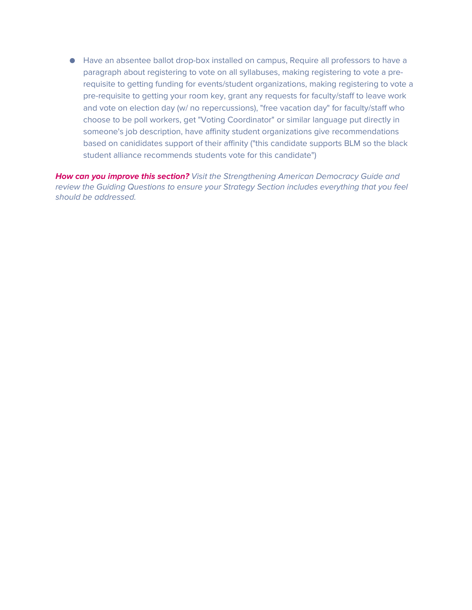● Have an absentee ballot drop-box installed on campus, Require all professors to have a paragraph about registering to vote on all syllabuses, making registering to vote a prerequisite to getting funding for events/student organizations, making registering to vote a pre-requisite to getting your room key, grant any requests for faculty/staff to leave work and vote on election day (w/ no repercussions), "free vacation day" for faculty/staff who choose to be poll workers, get "Voting Coordinator" or similar language put directly in someone's job description, have affinity student organizations give recommendations based on canididates support of their affinity ("this candidate supports BLM so the black student alliance recommends students vote for this candidate")

*How can you improve this section? Visit the Strengthening American Democracy Guide and review the Guiding Questions to ensure your Strategy Section includes everything that you feel should be addressed.*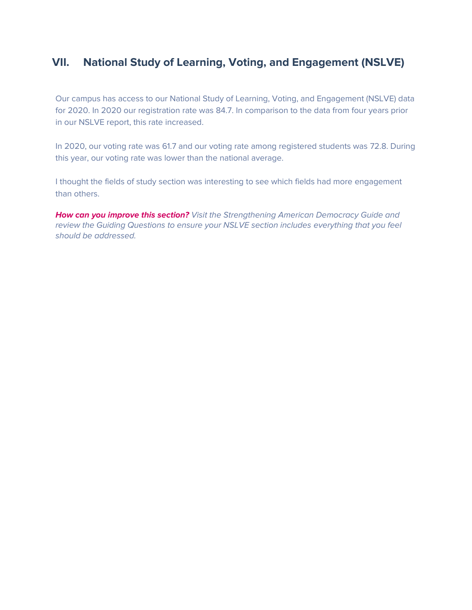## **VII. National Study of Learning, Voting, and Engagement (NSLVE)**

Our campus has access to our National Study of Learning, Voting, and Engagement (NSLVE) data for 2020. In 2020 our registration rate was 84.7. In comparison to the data from four years prior in our NSLVE report, this rate increased.

In 2020, our voting rate was 61.7 and our voting rate among registered students was 72.8. During this year, our voting rate was lower than the national average.

I thought the fields of study section was interesting to see which fields had more engagement than others.

*How can you improve this section? Visit the Strengthening American Democracy Guide and review the Guiding Questions to ensure your NSLVE section includes everything that you feel should be addressed.*